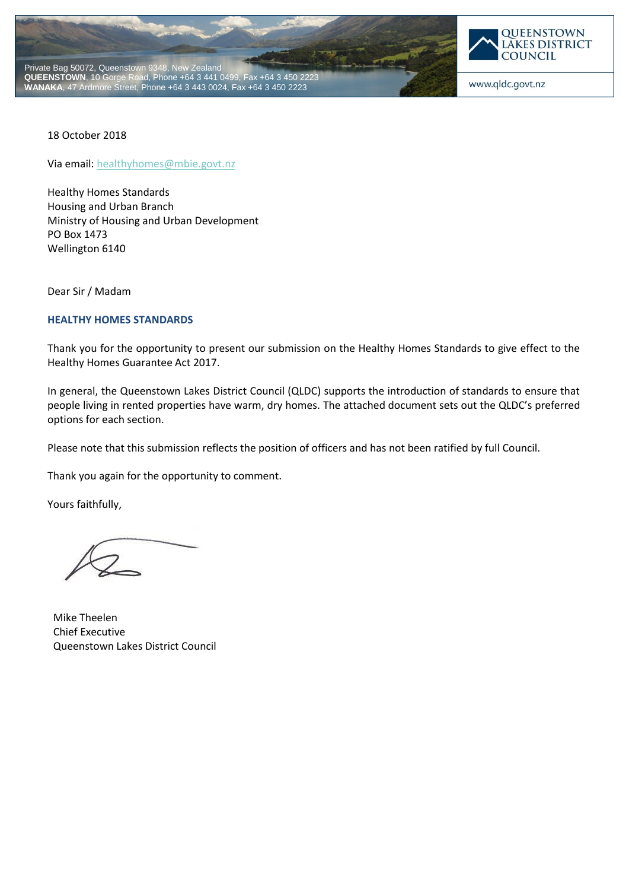



18 October 2018

Via email[: healthyhomes@mbie.govt.nz](mailto:healthyhomes@mbie.govt.nz)

Healthy Homes Standards Housing and Urban Branch Ministry of Housing and Urban Development PO Box 1473 Wellington 6140

Dear Sir / Madam

### **HEALTHY HOMES STANDARDS**

Thank you for the opportunity to present our submission on the Healthy Homes Standards to give effect to the Healthy Homes Guarantee Act 2017.

In general, the Queenstown Lakes District Council (QLDC) supports the introduction of standards to ensure that people living in rented properties have warm, dry homes. The attached document sets out the QLDC's preferred options for each section.

Please note that this submission reflects the position of officers and has not been ratified by full Council.

Thank you again for the opportunity to comment.

Yours faithfully,

Mike Theelen Chief Executive Queenstown Lakes District Council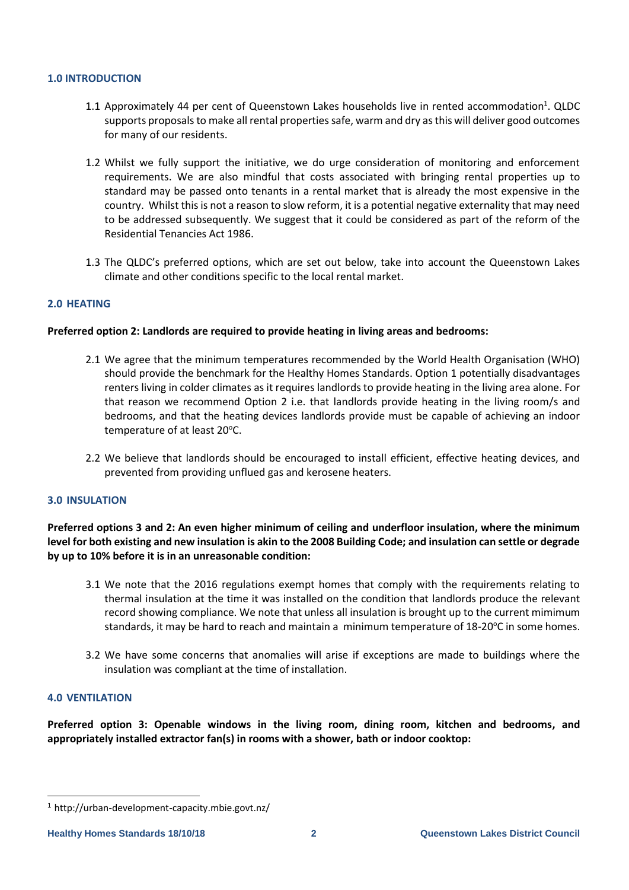## **1.0 INTRODUCTION**

- 1.1 Approximately 44 per cent of Queenstown Lakes households live in rented accommodation<sup>1</sup>. QLDC supports proposals to make all rental properties safe, warm and dry as this will deliver good outcomes for many of our residents.
- 1.2 Whilst we fully support the initiative, we do urge consideration of monitoring and enforcement requirements. We are also mindful that costs associated with bringing rental properties up to standard may be passed onto tenants in a rental market that is already the most expensive in the country. Whilst this is not a reason to slow reform, it is a potential negative externality that may need to be addressed subsequently. We suggest that it could be considered as part of the reform of the Residential Tenancies Act 1986.
- 1.3 The QLDC's preferred options, which are set out below, take into account the Queenstown Lakes climate and other conditions specific to the local rental market.

## **2.0 HEATING**

## **Preferred option 2: Landlords are required to provide heating in living areas and bedrooms:**

- 2.1 We agree that the minimum temperatures recommended by the World Health Organisation (WHO) should provide the benchmark for the Healthy Homes Standards. Option 1 potentially disadvantages renters living in colder climates as it requires landlords to provide heating in the living area alone. For that reason we recommend Option 2 i.e. that landlords provide heating in the living room/s and bedrooms, and that the heating devices landlords provide must be capable of achieving an indoor temperature of at least 20°C.
- 2.2 We believe that landlords should be encouraged to install efficient, effective heating devices, and prevented from providing unflued gas and kerosene heaters.

### **3.0 INSULATION**

**Preferred options 3 and 2: An even higher minimum of ceiling and underfloor insulation, where the minimum level for both existing and new insulation is akin to the 2008 Building Code; and insulation can settle or degrade by up to 10% before it is in an unreasonable condition:**

- 3.1 We note that the 2016 regulations exempt homes that comply with the requirements relating to thermal insulation at the time it was installed on the condition that landlords produce the relevant record showing compliance. We note that unless all insulation is brought up to the current mimimum standards, it may be hard to reach and maintain a minimum temperature of 18-20°C in some homes.
- 3.2 We have some concerns that anomalies will arise if exceptions are made to buildings where the insulation was compliant at the time of installation.

### **4.0 VENTILATION**

-

**Preferred option 3: Openable windows in the living room, dining room, kitchen and bedrooms, and appropriately installed extractor fan(s) in rooms with a shower, bath or indoor cooktop:**

<sup>1</sup> <http://urban-development-capacity.mbie.govt.nz/>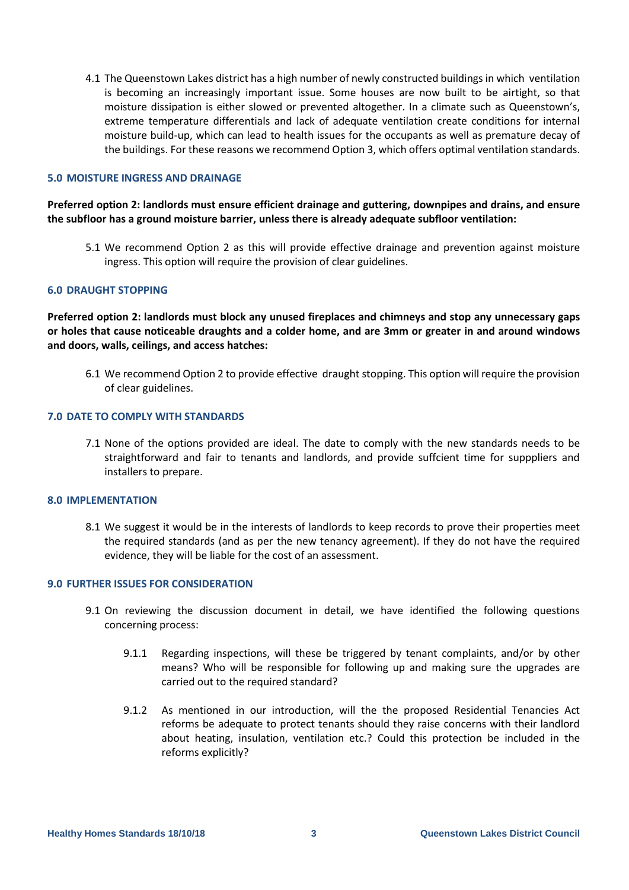4.1 The Queenstown Lakes district has a high number of newly constructed buildings in which ventilation is becoming an increasingly important issue. Some houses are now built to be airtight, so that moisture dissipation is either slowed or prevented altogether. In a climate such as Queenstown's, extreme temperature differentials and lack of adequate ventilation create conditions for internal moisture build-up, which can lead to health issues for the occupants as well as premature decay of the buildings. For these reasons we recommend Option 3, which offers optimal ventilation standards.

## **5.0 MOISTURE INGRESS AND DRAINAGE**

## **Preferred option 2: landlords must ensure efficient drainage and guttering, downpipes and drains, and ensure the subfloor has a ground moisture barrier, unless there is already adequate subfloor ventilation:**

5.1 We recommend Option 2 as this will provide effective drainage and prevention against moisture ingress. This option will require the provision of clear guidelines.

### **6.0 DRAUGHT STOPPING**

**Preferred option 2: landlords must block any unused fireplaces and chimneys and stop any unnecessary gaps or holes that cause noticeable draughts and a colder home, and are 3mm or greater in and around windows and doors, walls, ceilings, and access hatches:**

6.1 We recommend Option 2 to provide effective draught stopping. This option will require the provision of clear guidelines.

# **7.0 DATE TO COMPLY WITH STANDARDS**

7.1 None of the options provided are ideal. The date to comply with the new standards needs to be straightforward and fair to tenants and landlords, and provide suffcient time for supppliers and installers to prepare.

#### **8.0 IMPLEMENTATION**

8.1 We suggest it would be in the interests of landlords to keep records to prove their properties meet the required standards (and as per the new tenancy agreement). If they do not have the required evidence, they will be liable for the cost of an assessment.

## **9.0 FURTHER ISSUES FOR CONSIDERATION**

- 9.1 On reviewing the discussion document in detail, we have identified the following questions concerning process:
	- 9.1.1 Regarding inspections, will these be triggered by tenant complaints, and/or by other means? Who will be responsible for following up and making sure the upgrades are carried out to the required standard?
	- 9.1.2 As mentioned in our introduction, will the the proposed Residential Tenancies Act reforms be adequate to protect tenants should they raise concerns with their landlord about heating, insulation, ventilation etc.? Could this protection be included in the reforms explicitly?